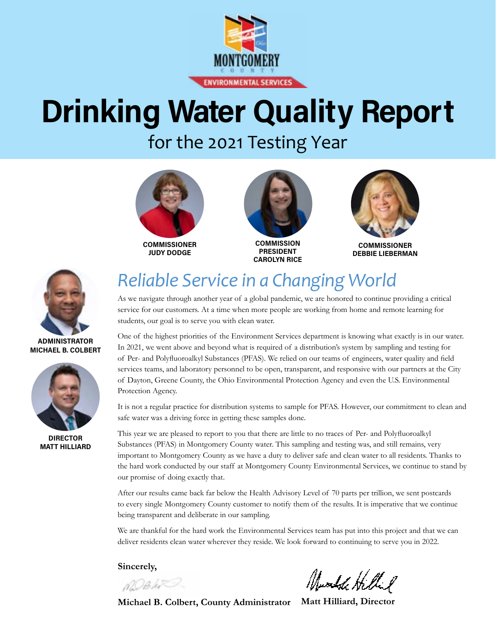

# **Drinking Water Quality Report**

for the 2021 Testing Year



**JUDY DODGE**





**COMMISSIONER DEBBIE LIEBERMAN**



**ADMINISTRATOR MICHAEL B. COLBERT**



**DIRECTOR MATT HILLIARD**

## *Reliable Service in a Changing World*

As we navigate through another year of a global pandemic, we are honored to continue providing a critical service for our customers. At a time when more people are working from home and remote learning for students, our goal is to serve you with clean water.

One of the highest priorities of the Environment Services department is knowing what exactly is in our water. In 2021, we went above and beyond what is required of a distribution's system by sampling and testing for of Per- and Polyfluoroalkyl Substances (PFAS). We relied on our teams of engineers, water quality and field services teams, and laboratory personnel to be open, transparent, and responsive with our partners at the City of Dayton, Greene County, the Ohio Environmental Protection Agency and even the U.S. Environmental Protection Agency.

It is not a regular practice for distribution systems to sample for PFAS. However, our commitment to clean and safe water was a driving force in getting these samples done.

This year we are pleased to report to you that there are little to no traces of Per- and Polyfluoroalkyl Substances (PFAS) in Montgomery County water. This sampling and testing was, and still remains, very important to Montgomery County as we have a duty to deliver safe and clean water to all residents. Thanks to the hard work conducted by our staff at Montgomery County Environmental Services, we continue to stand by our promise of doing exactly that.

After our results came back far below the Health Advisory Level of 70 parts per trillion, we sent postcards to every single Montgomery County customer to notify them of the results. It is imperative that we continue being transparent and deliberate in our sampling.

We are thankful for the hard work the Environmental Services team has put into this project and that we can deliver residents clean water wherever they reside. We look forward to continuing to serve you in 2022.

**Sincerely,** 

nDB ki<sup>n</sup>

Mundel Hillil

**Michael B. Colbert, County Administrator Matt Hilliard, Director**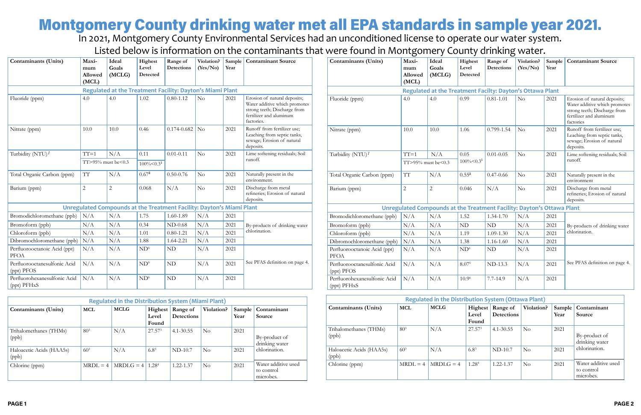|                                             |                                  |                          |                              |                                                                       |          |      |                                                                                                                                        |                                                                        | ັ                                |                          |                              | ັ                                                         |          |      |                                                                                                                                       |
|---------------------------------------------|----------------------------------|--------------------------|------------------------------|-----------------------------------------------------------------------|----------|------|----------------------------------------------------------------------------------------------------------------------------------------|------------------------------------------------------------------------|----------------------------------|--------------------------|------------------------------|-----------------------------------------------------------|----------|------|---------------------------------------------------------------------------------------------------------------------------------------|
| <b>Contaminants (Units)</b>                 | Maxi-<br>mum<br>Allowed<br>(MCL) | Ideal<br>Goals<br>(MCLG) | Highest<br>Level<br>Detected | Range of<br>Detections                                                | (Yes/No) | Year | Violation? Sample   Contaminant Source                                                                                                 | <b>Contaminants (Units)</b>                                            | Maxi-<br>mum<br>Allowed<br>(MCL) | Ideal<br>Goals<br>(MCLG) | Highest<br>Level<br>Detected | Range of<br>Detections                                    | (Yes/No) | Year | Violation? Sample   Contaminant Source                                                                                                |
|                                             |                                  |                          |                              | Regulated at the Treatment Facility: Dayton's Miami Plant             |          |      |                                                                                                                                        |                                                                        |                                  |                          |                              | Regulated at the Treatment Facilty: Dayton's Ottawa Plant |          |      |                                                                                                                                       |
| Fluoride (ppm)                              | 4.0                              | $\vert 4.0 \vert$        | 1.02                         | $ 0.80 - 1.12 $                                                       | No       | 2021 | Erosion of natural deposits;<br>Water additive which promotes<br>strong teeth; Discharge from<br>fertilizer and aluminum<br>factories. | Fluoride (ppm)                                                         | 4.0                              | 4.0                      | 0.99                         | $0.81 - 1.01$                                             | $\rm No$ | 2021 | Erosion of natural deposits;<br>Water additive which promotes<br>strong teeth; Discharge from<br>fertilizer and aluminum<br>factories |
| Nitrate (ppm)                               | 10.0                             | 10.0                     | 0.46                         | $0.174 - 0.682$ No                                                    |          | 2021 | Runoff from fertilizer use;<br>Leaching from septic tanks,<br>sewage; Erosion of natural<br>deposits.                                  | Nitrate (ppm)                                                          | 10.0                             | 10.0                     | 1.06                         | 0.799-1.54                                                | $\rm No$ | 2021 | Runoff from fertilizer use;<br>Leaching from septic tanks,<br>sewage; Erosion of natural<br>deposits.                                 |
| Turbidity (NTU) $1$                         | $TT=1$                           | N/A<br>0.11              |                              | No<br>$0.01 - 0.11$                                                   |          | 2021 | Lime softening residuals; Soil                                                                                                         | Turbidity $(NTU)^{1}$                                                  | $TT=1$                           | N/A                      | 0.05                         | $0.01 - 0.05$                                             | $\rm No$ | 2021 | Lime softening residuals; Soil                                                                                                        |
|                                             | TT>95% must be<0.3               |                          | $100\% \le 0.3^1$            |                                                                       |          |      | runoff.                                                                                                                                |                                                                        | $TT > 95\%$ must be $\leq 0.3$   |                          | $100\% \le 0.3^1$            |                                                           |          |      | runoff.                                                                                                                               |
| Total Organic Carbon (ppm)                  | TT                               | N/A                      | $0.67^2$                     | $0.50 - 0.76$                                                         | No       | 2021 | Naturally present in the<br>environment.                                                                                               | Total Organic Carbon (ppm)                                             | TТ                               | N/A                      | $0.55^2$                     | $0.47 - 0.66$                                             | $\rm No$ | 2021 | Naturally present in the<br>environment                                                                                               |
| Barium (ppm)                                |                                  | $\overline{2}$           | 0.068                        | N/A                                                                   | $\rm No$ | 2021 | Discharge from metal<br>refineries; Erosion of natural<br>deposits.                                                                    | Barium (ppm)                                                           | $\overline{2}$                   |                          | 0.046                        | N/A                                                       | No       | 2021 | Discharge from metal<br>refineries; Erosion of natural<br>deposits.                                                                   |
|                                             |                                  |                          |                              | Unregulated Compounds at the Treatment Facility: Dayton's Miami Plant |          |      |                                                                                                                                        | Unregulated Compounds at the Treatment Facility: Dayton's Ottawa Plant |                                  |                          |                              |                                                           |          |      |                                                                                                                                       |
| Bromodichloromethane (ppb)                  | N/A                              | N/A                      | 1.75                         | 1.60-1.89                                                             | N/A      | 2021 |                                                                                                                                        | Bromodichloromethane (ppb)                                             | N/A                              | N/A                      | 1.52                         | 1.34-1.70                                                 | N/A      | 2021 |                                                                                                                                       |
| Bromoform (ppb)                             | N/A                              | N/A                      | 0.34                         | $ND-0.68$                                                             | N/A      | 2021 | By-products of drinking water                                                                                                          | Bromoform (ppb)                                                        | N/A                              | N/A                      | <b>ND</b>                    | ND                                                        | N/A      | 2021 | By-products of drinking water                                                                                                         |
| Chloroform (ppb)                            | N/A                              | N/A                      | 1.01                         | $0.80 - 1.21$                                                         | N/A      | 2021 | chlorination.                                                                                                                          | Chloroform (ppb)                                                       | N/A                              | N/A                      | 1.19                         | $1.09 - 1.30$                                             | N/A      | 2021 | chlorination.                                                                                                                         |
| Dibromochloromethane (ppb)                  | N/A                              | N/A                      | 1.88                         | 1.64-2.21                                                             | N/A      | 2021 |                                                                                                                                        | Dibromochloromethane (ppb)                                             | N/A                              | N/A                      | 1.38                         | $1.16 - 1.60$                                             | N/A      | 2021 |                                                                                                                                       |
| Perfluorooctanoic Acid (ppt)<br>PFOA        | N/A                              | N/A                      | ND <sup>6</sup>              | ND                                                                    | N/A      | 2021 |                                                                                                                                        | Perfluorooctanoic Acid (ppt)<br><b>PFOA</b>                            | N/A                              | N/A                      | ND <sup>6</sup>              | $\rm ND$                                                  | N/A      | 2021 |                                                                                                                                       |
| Perfluorooctanesulfonic Acid<br>(ppt) PFOS  | N/A                              | N/A                      | ND <sup>6</sup>              | ND                                                                    | N/A      | 2021 | See PFAS definition on page 4.                                                                                                         | Perfluorooctanesulfonic Acid<br>(ppt) PFOS                             | N/A                              | N/A                      | 8.076                        | ND-13.3                                                   | N/A      | 2021 | See PFAS definition on page 4.                                                                                                        |
| Perfluorohexanesulfonic Acid<br>(ppt) PFHxS | N/A                              | N/A                      | ND <sup>6</sup>              | ND                                                                    | N/A      | 2021 |                                                                                                                                        | Perfluorohexanesulfonic Acid<br>(ppt) PFHxS                            | N/A                              | N/A                      | 10.96                        | 7.7-14.9                                                  | N/A      | 2021 |                                                                                                                                       |

## Montgomery County drinking water met all EPA standards in sample year 2021.

In 2021, Montgomery County Environmental Services had an unconditioned license to operate our water system. Listed below is information on the contaminants that were found in Montgomery County drinking water.

| <b>Regulated in the Distribution System (Miami Plant)</b> |                 |                     |                           |                               |            |                |                                                |  |
|-----------------------------------------------------------|-----------------|---------------------|---------------------------|-------------------------------|------------|----------------|------------------------------------------------|--|
| Contaminants (Units)                                      | <b>MCL</b>      | <b>MCLG</b>         | Highest<br>Level<br>Found | Range of<br><b>Detections</b> | Violation? | Sample<br>Year | Contaminant<br>Source                          |  |
| Trihalomethanes (THMs)<br>(ppb)                           | 80 <sup>3</sup> | N/A                 | $27.57^{3}$               | $4.1 - 30.55$                 | $\rm No$   | 2021           | By-product of<br>drinking water                |  |
| Haloacetic Acids (HAA5s)<br>(ppb)                         | $60^{3}$        | N/A                 | $6.8^{3}$                 | $ND-10.7$                     | $\rm No$   | 2021           | chlorination.                                  |  |
| Chlorine (ppm)                                            | $MRDI = 4$      | $MRDLG = 4   1.284$ |                           | 1.22-1.37                     | No         | 2021           | Water additive used<br>to control<br>microbes. |  |

| <b>Regulated in the Distribution System (Ottawa Plant)</b> |                 |             |                           |                               |            |                |                                                |  |
|------------------------------------------------------------|-----------------|-------------|---------------------------|-------------------------------|------------|----------------|------------------------------------------------|--|
| Contaminants (Units)                                       | <b>MCL</b>      | <b>MCLG</b> | Highest<br>Level<br>Found | Range of<br><b>Detections</b> | Violation? | Sample<br>Year | Contaminant<br>Source                          |  |
| Trihalomethanes (THMs)<br>(ppb)                            | 80 <sup>3</sup> | N/A         | 27.57 <sup>3</sup>        | $4.1 - 30.55$                 | $\rm No$   | 2021           | By-product of<br>drinking water                |  |
| Haloacetic Acids (HAA5s)<br>(ppb)                          | $60^{3}$        | N/A         | $6.8^{3}$                 | $ND-10.7$                     | $\rm No$   | 2021           | chlorination.                                  |  |
| Chlorine (ppm)                                             | $MRDI = 4$      | $MRDIG = 4$ | 1.28 <sup>4</sup>         | 1.22-1.37                     | $\rm No$   | 2021           | Water additive used<br>to control<br>microbes. |  |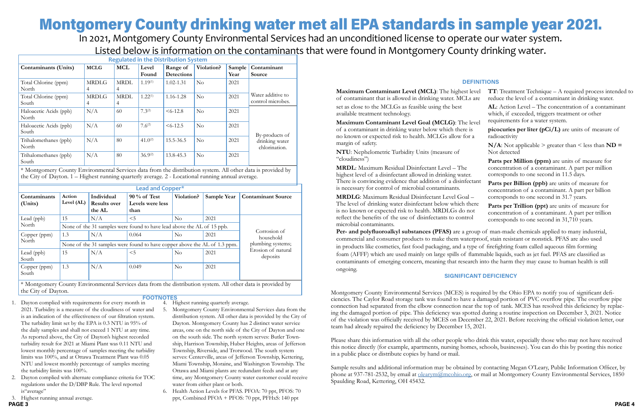set as close to the MCLGs as feasible using the best available treatment technology.

**Maximum Contaminant Level Goal (MCLG)**: The le of a contaminant in drinking water below which there is no known or expected risk to health. MCLGs allow for margin of safety.

**NTU**: Nephelometric Turbidity Units (measure of "cloudiness")

**MRDL**: Maximum Residual Disinfectant Level – The highest level of a disinfectant allowed in drinking water. There is convincing evidence that addition of a disinfect is necessary for control of microbial contaminants.

**MRDLG**: Maximum Residual Disinfectant Level Goal – The level of drinking water disinfectant below which the is no known or expected risk to health. MRDLGs do no reflect the benefits of the use of disinfectants to control microbial contaminants.

| evel<br>are                  | <b>TT</b> : Treatment Technique $-$ A required process intended to<br>reduce the level of a contaminant in drinking water.                             |
|------------------------------|--------------------------------------------------------------------------------------------------------------------------------------------------------|
| evel                         | <b>AL</b> : Action Level – The concentration of a contaminant<br>which, if exceeded, triggers treatment or other<br>requirements for a water system.   |
| $\overline{\mathbf{S}}$<br>a | picocuries per liter $(pCi/L)$ are units of measure of<br>radioactivity                                                                                |
|                              | $N/A$ : Not applicable > greater than < less than $ND =$<br>Not detected                                                                               |
|                              | Parts per Million (ppm) are units of measure for<br>concentration of a contaminant. A part per million<br>corresponds to one second in 11.5 days.      |
| tant                         | Parts per Billion (ppb) are units of measure for<br>concentration of a contaminant. A part per billion<br>corresponds to one second in 31.7 years.     |
| ere<br>эt<br>ı.              | Parts per Trillion (ppt) are units of measure for<br>concentration of a contaminant. A part per trillion<br>corresponds to one second in 31,710 years. |

### **DEFINITIONS**

Montgomery County Environmental Services (MCES) is required by the Ohio EPA to notify you of significant deficiencies. The Caylor Road storage tank was found to have a damaged portion of PVC overflow pipe. The overflow pipe connection had separated from the elbow connection near the top of tank. MCES has resolved this deficiency by replacing the damaged portion of pipe. This deficiency was spotted during a routine inspection on December 3, 2021. Notice of the violation was officially received by MCES on December 22, 2021. Before receiving the official violation letter, our team had already repaired the deficiency by December 15, 2021.

Please share this information with all the other people who drink this water, especially those who may not have received this notice directly (for example, apartments, nursing homes, schools, businesses). You can do this by posting this notice in a public place or distribute copies by hand or mail.

Sample results and additional information may be obtained by contacting Megan O'Leary, Public Information Officer, by phone at 937-781-2532, by email at [olearym@mcohio.org](mailto:olearym%40mcohio.org?subject=), or mail at Montgomery County Environmental Services, 1850 Spaulding Road, Kettering, OH 45432.

### **SIGNIFICANT DEFICIENCY**

## Montgomery County drinking water met all EPA standards in sample year 2021.

In 2021, Montgomery County Environmental Services had an unconditioned license to operate our water system. Listed below is information on the contaminants that were found in Montgomery County drinking water.

- 4. Highest running quarterly average.
- 1. Dayton complied with requirements for every month in 2021. Turbidity is a measure of the cloudiness of water and is an indication of the effectiveness of our filtration system. The turbidity limit set by the EPA is 0.3 NTU in 95% of the daily samples and shall not exceed 1 NTU at any time. As reported above, the City of Dayton's highest recorded turbidity result for 2021 at Miami Plant was 0.11 NTU and lowest monthly percentage of samples meeting the turbidity limits was 100%, and at Ottawa Treatment Plant was 0.05 NTU and lowest monthly percentage of samples meeting the turbidity limits was 100%.
- 2. Dayton complied with alternate compliance criteria for TOC regulations under the D/DBP Rule. The level reported is"average"
- 3. Highest running annual average.
- **PAGE 3 PAGE 4**
- 5. Montgomery County Environmental Services data from the distribution system. All other data is provided by the City of Dayton. Montgomery County has 2 distinct water service areas, one on the north side of the City of Dayton and one on the south side. The north system serves: Butler Township, Harrison Township, Huber Heights, areas of Jefferson Township, Riverside, and Trotwood. The south system serves: Centerville, areas of Jefferson Township, Kettering, Miami Township, Moraine, and Washington Township. The Ottawa and Miami plants are redundant feeds and at any
- water from either plant or both. 6. Health Action Levels for PFAS. PFOA: 70 ppt, PFOS: 70 ppt, Combined PFOA + PFOS: 70 ppt, PFHxS: 140 ppt

time, any Montgomery County water customer could receive

**Maximum Contaminant Level (MCL)**: The highest level of contaminant that is allowed in drinking water. MCLs

**FOOTNOTES**

| <b>Regulated in the Distribution System</b> |                   |                  |                |                               |            |                |                                        |
|---------------------------------------------|-------------------|------------------|----------------|-------------------------------|------------|----------------|----------------------------------------|
| Contaminants (Units)                        | <b>MCLG</b>       | <b>MCL</b>       | Level<br>Found | Range of<br><b>Detections</b> | Violation? | Sample<br>Year | Contaminant<br>Source                  |
| Total Chlorine (ppm)<br>North               | <b>MRDLG</b><br>4 | <b>MRDL</b><br>4 | $1.19^{(1)}$   | $1.02 - 1.31$                 | $\rm No$   | 2021           |                                        |
| Total Chlorine (ppm)<br>South               | <b>MRDLG</b><br>4 | <b>MRDL</b><br>4 | $1.22^{(1)}$   | 1.16-1.28                     | No         | 2021           | Water additive to<br>control microbes. |
| Haloacetic Acids (ppb)<br>North             | N/A               | 60               | $7.3^{(2)}$    | $<6-12.8$                     | No         | 2021           |                                        |
| Haloacetic Acids (ppb)<br>South             | N/A               | 60               | $7.6^{(2)}$    | $<6-12.5$                     | No         | 2021           | By-products of                         |
| Trihalomethanes (ppb)<br>North              | N/A               | 80               | $41.0^{(2)}$   | 15.5-36.5                     | No         | 2021           | drinking water<br>chlorination.        |
| Trihalomethanes (ppb)<br>South              | N/A               | 80               | $36.9^{(2)}$   | 13.8-45.3                     | No         | 2021           |                                        |

\* Montgomery County Environmental Services data from the distribution system. All other data is provided by the City of Dayton. 1 – Highest running quarterly average. 2 - Locational running annual average.

> **Per- and polyfluoroalkyl substances (PFAS)** are a group of man-made chemicals applied to many industrial, commercial and consumer products to make them waterproof, stain resistant or nonstick. PFAS are also used in products like cosmetics, fast food packaging, and a type of firefighting foam called aqueous film forming foam (AFFF) which are used mainly on large spills of flammable liquids, such as jet fuel. PFAS are classified as contaminants of emerging concern, meaning that research into the harm they may cause to human health is still ongoing.

|                         |                                                                           |                                             | Lead and Copper*                           |            |             |                                |  |
|-------------------------|---------------------------------------------------------------------------|---------------------------------------------|--------------------------------------------|------------|-------------|--------------------------------|--|
| Contaminants<br>(Units) | Action<br>Level (AL)                                                      | Individual<br><b>Results over</b><br>the AL | $90\%$ of Test<br>Levels were less<br>than | Violation? | Sample Year | <b>Contaminant Source</b>      |  |
| Lead (ppb)              | 15                                                                        | N/A                                         | $<$ 5                                      | $\rm No$   | 2021        |                                |  |
| North                   | None of the 31 samples were found to have lead above the AL of 15 ppb.    |                                             |                                            |            |             |                                |  |
| Copper (ppm)            | 1.3                                                                       | N/A                                         | 0.064                                      | $\rm No$   | 2021        | Corrosion of<br>household      |  |
| North                   | None of the 31 samples were found to have copper above the AL of 1.3 ppm. | plumbing systems;                           |                                            |            |             |                                |  |
| Lead (ppb)<br>South     | 15                                                                        | N/A                                         | < 5                                        | $\rm No$   | 2021        | Erosion of natural<br>deposits |  |
| Copper (ppm)<br>South   | 1.3                                                                       | N/A                                         | 0.049                                      | $\rm No$   | 2021        |                                |  |

\* Montgomery County Environmental Services data from the distribution system. All other data is provided by the City of Dayton.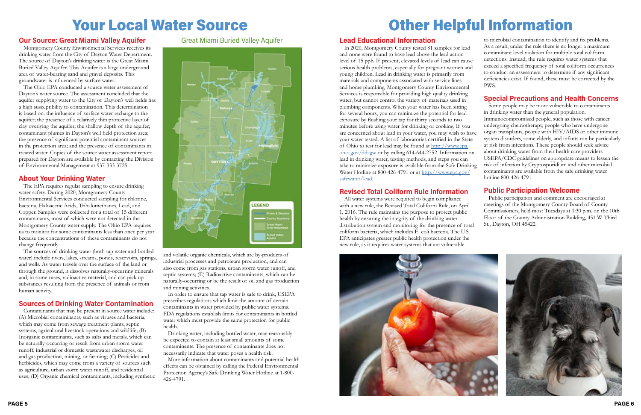### **Our Source: Great Miami Valley Aquifer**

Montgomery County Environmental Services receives its drinking water from the City of Dayton Water Department. The source of Dayton's drinking water is the Great Miami Buried Valley Aquifer. This Aquifer is a large underground area of water-bearing sand and gravel deposits. This groundwater is influenced by surface water.

The Ohio EPA conducted a source water assessment of Dayton's water source. The assessment concluded that the aquifer supplying water to the City of Dayton's well fields has a high susceptibility to contamination. This determination is based on: the influence of surface water recharge to the aquifer; the presence of a relatively thin protective layer of clay overlying the aquifer; the shallow depth of the aquifer; contaminant plumes in Dayton's well field protection area; the presence of significant potential contaminant sources in the protection area; and the presence of contaminants in treated water. Copies of the source water assessment report prepared for Dayton are available by contacting the Division of Environmental Management at 937-333-3725.

### **About Your Drinking Water**

The EPA requires regular sampling to ensure drinking water safety. During 2020, Montgomery County Environmental Services conducted sampling for chlorine, bacteria, Haloacetic Acids, Trihalomethanes, Lead, and Copper. Samples were collected for a total of 15 different contaminants, most of which were not detected in the Montgomery County water supply. The Ohio EPA requires us to monitor for some contaminants less than once per year because the concentrations of these contaminants do not change frequently.

The sources of drinking water (both tap water and bottled water) include rivers, lakes, streams, ponds, reservoirs, springs, and wells. As water travels over the surface of the land or through the ground, it dissolves naturally-occurring minerals and, in some cases, radioactive material, and can pick up substances resulting from the presence of animals or from human activity.

### **Sources of Drinking Water Contamination**

Contaminants that may be present in source water include: (A) Microbial contaminants, such as viruses and bacteria, which may come from sewage treatment plants, septic systems, agricultural livestock operations and wildlife; (B) Inorganic contaminants, such as salts and metals, which can be naturally-occurring or result from urban storm water runoff, industrial or domestic wastewater discharges, oil and gas production, mining, or farming; (C) Pesticides and herbicides, which may come from a variety of sources such as agriculture, urban storm water runoff, and residential uses; (D) Organic chemical contaminants, including synthetic

and volatile organic chemicals, which are by-products of industrial processes and petroleum production, and can also come from gas stations, urban storm water runoff, and septic systems; (E) Radioactive contaminants, which can be naturally-occurring or be the result of oil and gas production and mining activities.

In order to ensure that tap water is safe to drink, USEPA prescribes regulations which limit the amount of certain contaminants in water provided by public water systems. FDA regulations establish limits for contaminants in bottled water which must provide the same protection for public health.

Drinking water, including bottled water, may reasonably be expected to contain at least small amounts of some contaminants. The presence of contaminants does not necessarily indicate that water poses a health risk.

More information about contaminants and potential health effects can be obtained by calling the Federal Environmental Protection Agency's Safe Drinking Water Hotline at 1-800- 426-4791.

## Your Local Water Source

Great Miami Buried Valley Aquifer **Lead Educational Information**



In 2020, Montgomery County tested 81 samples for lead and none were found to have lead above the lead action level of 15 ppb. If present, elevated levels of lead can cause serious health problems, especially for pregnant women and young children. Lead in drinking water is primarily from materials and components associated with service lines and home plumbing. Montgomery County Environmental Services is responsible for providing high quality drinking water, but cannot control the variety of materials used in plumbing components. When your water has been sitting for several hours, you can minimize the potential for lead exposure by flushing your tap for thirty seconds to two minutes before using water for drinking or cooking. If you are concerned about lead in your water, you may wish to have your water tested. A list of laboratories certified in the State of Ohio to test for lead may be found at [http://www.epa.](http://www.epa.ohio.gov/ddagw) [ohio.gov/ddagw](http://www.epa.ohio.gov/ddagw) or by calling 614-644-2752. Information on lead in drinking water, testing methods, and steps you can take to minimize exposure is available from the Safe Drinking Water Hotline at 800-426-4791 or at [http://www.epa.gov/](http://www.epa.gov/safewater/lead) [safewater/lead](http://www.epa.gov/safewater/lead).

### **Revised Total Coliform Rule Information**

All water systems were required to begin compliance with a new rule, the Revised Total Coliform Rule, on April 1, 2016. The rule maintains the purpose to protect public health by ensuring the integrity of the drinking water distribution system and monitoring for the presence of total coliform bacteria, which includes E. coli bacteria. The U.S. EPA anticipates greater public health protection under the new rule, as it requires water systems that are vulnerable



to microbial contamination to identify and fix problems. As a result, under the rule there is no longer a maximum contaminant level violation for multiple total coliform detections. Instead, the rule requires water systems that exceed a specified frequency of total coliform occurrences to conduct an assessment to determine if any significant deficiencies exist. If found, these must be corrected by the PWS.

### **Special Precautions and Health Concerns**

Some people may be more vulnerable to contaminants in drinking water than the general population. Immunocompromised people, such as those with cancer undergoing chemotherapy, people who have undergone organ transplants, people with HIV/AIDS or other immune system disorders, some elderly, and infants can be particularly at risk from infections. These people should seek advice about drinking water from their health care providers. USEPA/CDC guidelines on appropriate means to lessen the risk of infection by Cryptosporidium and other microbial contaminants are available from the safe drinking water

hotline 800-426-4791.

### **Public Participation Welcome**

Public participation and comment are encouraged at meetings of the Montgomery County Board of County Commissioners, held most Tuesdays at 1:30 p.m. on the 10th Floor of the County Administration Building, 451 W. Third St., Dayton, OH 45422.



## Other Helpful Information